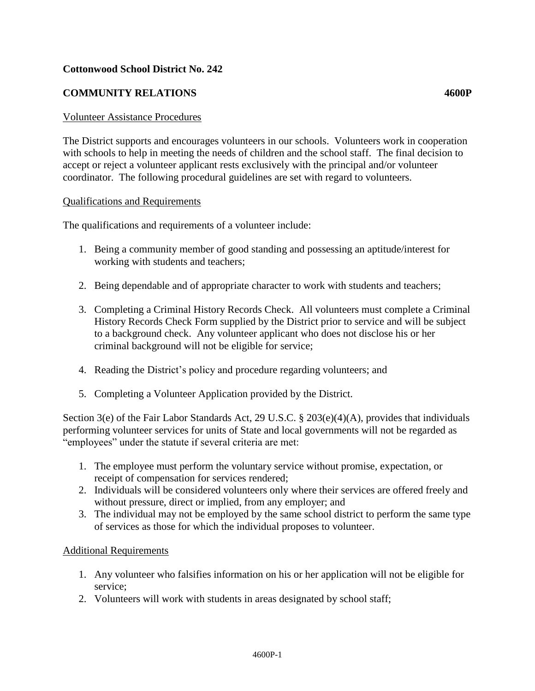# **Cottonwood School District No. 242**

# **COMMUNITY RELATIONS 4600P**

#### Volunteer Assistance Procedures

The District supports and encourages volunteers in our schools. Volunteers work in cooperation with schools to help in meeting the needs of children and the school staff. The final decision to accept or reject a volunteer applicant rests exclusively with the principal and/or volunteer coordinator. The following procedural guidelines are set with regard to volunteers.

#### Qualifications and Requirements

The qualifications and requirements of a volunteer include:

- 1. Being a community member of good standing and possessing an aptitude/interest for working with students and teachers;
- 2. Being dependable and of appropriate character to work with students and teachers;
- 3. Completing a Criminal History Records Check. All volunteers must complete a Criminal History Records Check Form supplied by the District prior to service and will be subject to a background check. Any volunteer applicant who does not disclose his or her criminal background will not be eligible for service;
- 4. Reading the District's policy and procedure regarding volunteers; and
- 5. Completing a Volunteer Application provided by the District.

Section 3(e) of the Fair Labor Standards Act, 29 U.S.C. § 203(e)(4)(A), provides that individuals performing volunteer services for units of State and local governments will not be regarded as "employees" under the statute if several criteria are met:

- 1. The employee must perform the voluntary service without promise, expectation, or receipt of compensation for services rendered;
- 2. Individuals will be considered volunteers only where their services are offered freely and without pressure, direct or implied, from any employer; and
- 3. The individual may not be employed by the same school district to perform the same type of services as those for which the individual proposes to volunteer.

#### Additional Requirements

- 1. Any volunteer who falsifies information on his or her application will not be eligible for service;
- 2. Volunteers will work with students in areas designated by school staff;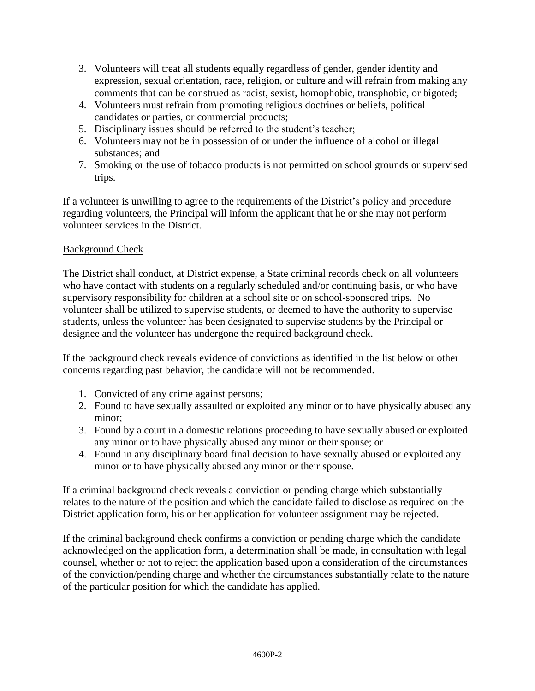- 3. Volunteers will treat all students equally regardless of gender, gender identity and expression, sexual orientation, race, religion, or culture and will refrain from making any comments that can be construed as racist, sexist, homophobic, transphobic, or bigoted;
- 4. Volunteers must refrain from promoting religious doctrines or beliefs, political candidates or parties, or commercial products;
- 5. Disciplinary issues should be referred to the student's teacher;
- 6. Volunteers may not be in possession of or under the influence of alcohol or illegal substances; and
- 7. Smoking or the use of tobacco products is not permitted on school grounds or supervised trips.

If a volunteer is unwilling to agree to the requirements of the District's policy and procedure regarding volunteers, the Principal will inform the applicant that he or she may not perform volunteer services in the District.

## Background Check

The District shall conduct, at District expense, a State criminal records check on all volunteers who have contact with students on a regularly scheduled and/or continuing basis, or who have supervisory responsibility for children at a school site or on school-sponsored trips. No volunteer shall be utilized to supervise students, or deemed to have the authority to supervise students, unless the volunteer has been designated to supervise students by the Principal or designee and the volunteer has undergone the required background check.

If the background check reveals evidence of convictions as identified in the list below or other concerns regarding past behavior, the candidate will not be recommended.

- 1. Convicted of any crime against persons;
- 2. Found to have sexually assaulted or exploited any minor or to have physically abused any minor;
- 3. Found by a court in a domestic relations proceeding to have sexually abused or exploited any minor or to have physically abused any minor or their spouse; or
- 4. Found in any disciplinary board final decision to have sexually abused or exploited any minor or to have physically abused any minor or their spouse.

If a criminal background check reveals a conviction or pending charge which substantially relates to the nature of the position and which the candidate failed to disclose as required on the District application form, his or her application for volunteer assignment may be rejected.

If the criminal background check confirms a conviction or pending charge which the candidate acknowledged on the application form, a determination shall be made, in consultation with legal counsel, whether or not to reject the application based upon a consideration of the circumstances of the conviction/pending charge and whether the circumstances substantially relate to the nature of the particular position for which the candidate has applied.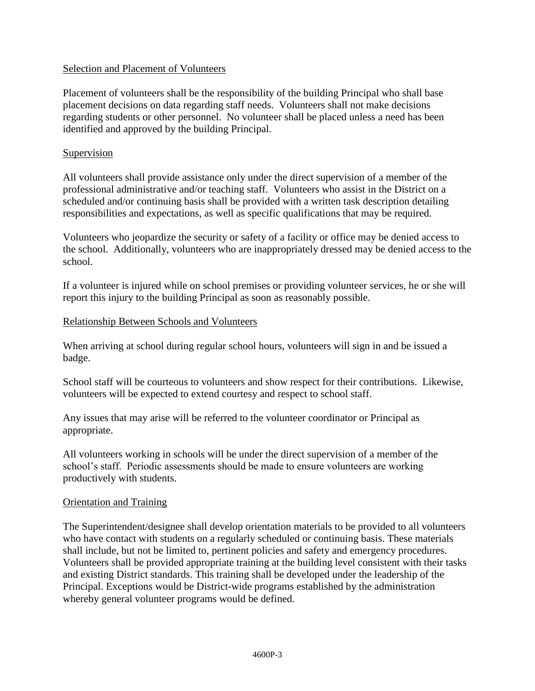#### Selection and Placement of Volunteers

Placement of volunteers shall be the responsibility of the building Principal who shall base placement decisions on data regarding staff needs. Volunteers shall not make decisions regarding students or other personnel. No volunteer shall be placed unless a need has been identified and approved by the building Principal.

## Supervision

All volunteers shall provide assistance only under the direct supervision of a member of the professional administrative and/or teaching staff. Volunteers who assist in the District on a scheduled and/or continuing basis shall be provided with a written task description detailing responsibilities and expectations, as well as specific qualifications that may be required.

Volunteers who jeopardize the security or safety of a facility or office may be denied access to the school. Additionally, volunteers who are inappropriately dressed may be denied access to the school.

If a volunteer is injured while on school premises or providing volunteer services, he or she will report this injury to the building Principal as soon as reasonably possible.

#### Relationship Between Schools and Volunteers

When arriving at school during regular school hours, volunteers will sign in and be issued a badge.

School staff will be courteous to volunteers and show respect for their contributions. Likewise, volunteers will be expected to extend courtesy and respect to school staff.

Any issues that may arise will be referred to the volunteer coordinator or Principal as appropriate.

All volunteers working in schools will be under the direct supervision of a member of the school's staff. Periodic assessments should be made to ensure volunteers are working productively with students.

#### Orientation and Training

The Superintendent/designee shall develop orientation materials to be provided to all volunteers who have contact with students on a regularly scheduled or continuing basis. These materials shall include, but not be limited to, pertinent policies and safety and emergency procedures. Volunteers shall be provided appropriate training at the building level consistent with their tasks and existing District standards. This training shall be developed under the leadership of the Principal. Exceptions would be District-wide programs established by the administration whereby general volunteer programs would be defined.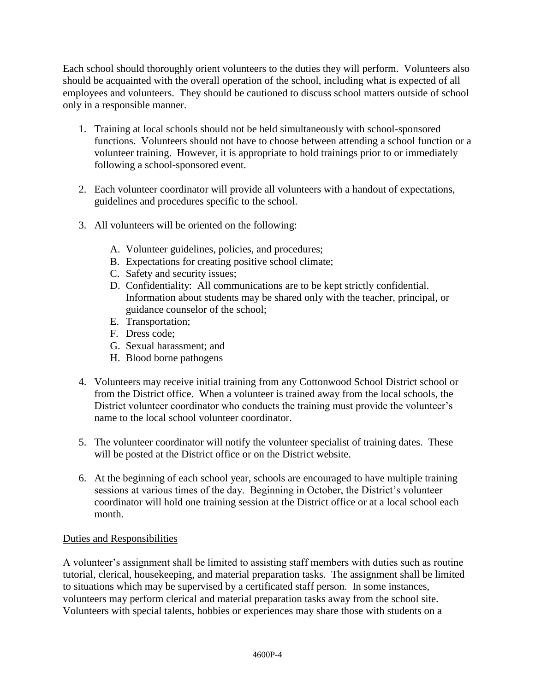Each school should thoroughly orient volunteers to the duties they will perform. Volunteers also should be acquainted with the overall operation of the school, including what is expected of all employees and volunteers. They should be cautioned to discuss school matters outside of school only in a responsible manner.

- 1. Training at local schools should not be held simultaneously with school-sponsored functions. Volunteers should not have to choose between attending a school function or a volunteer training. However, it is appropriate to hold trainings prior to or immediately following a school-sponsored event.
- 2. Each volunteer coordinator will provide all volunteers with a handout of expectations, guidelines and procedures specific to the school.
- 3. All volunteers will be oriented on the following:
	- A. Volunteer guidelines, policies, and procedures;
	- B. Expectations for creating positive school climate;
	- C. Safety and security issues;
	- D. Confidentiality: All communications are to be kept strictly confidential. Information about students may be shared only with the teacher, principal, or guidance counselor of the school;
	- E. Transportation;
	- F. Dress code;
	- G. Sexual harassment; and
	- H. Blood borne pathogens
- 4. Volunteers may receive initial training from any Cottonwood School District school or from the District office. When a volunteer is trained away from the local schools, the District volunteer coordinator who conducts the training must provide the volunteer's name to the local school volunteer coordinator.
- 5. The volunteer coordinator will notify the volunteer specialist of training dates. These will be posted at the District office or on the District website.
- 6. At the beginning of each school year, schools are encouraged to have multiple training sessions at various times of the day. Beginning in October, the District's volunteer coordinator will hold one training session at the District office or at a local school each month.

## Duties and Responsibilities

A volunteer's assignment shall be limited to assisting staff members with duties such as routine tutorial, clerical, housekeeping, and material preparation tasks. The assignment shall be limited to situations which may be supervised by a certificated staff person. In some instances, volunteers may perform clerical and material preparation tasks away from the school site. Volunteers with special talents, hobbies or experiences may share those with students on a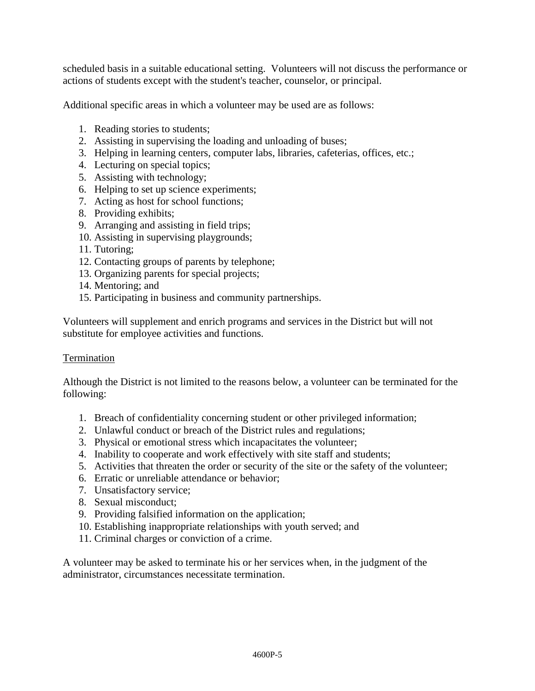scheduled basis in a suitable educational setting. Volunteers will not discuss the performance or actions of students except with the student's teacher, counselor, or principal.

Additional specific areas in which a volunteer may be used are as follows:

- 1. Reading stories to students;
- 2. Assisting in supervising the loading and unloading of buses;
- 3. Helping in learning centers, computer labs, libraries, cafeterias, offices, etc.;
- 4. Lecturing on special topics;
- 5. Assisting with technology;
- 6. Helping to set up science experiments;
- 7. Acting as host for school functions;
- 8. Providing exhibits;
- 9. Arranging and assisting in field trips;
- 10. Assisting in supervising playgrounds;
- 11. Tutoring;
- 12. Contacting groups of parents by telephone;
- 13. Organizing parents for special projects;
- 14. Mentoring; and
- 15. Participating in business and community partnerships.

Volunteers will supplement and enrich programs and services in the District but will not substitute for employee activities and functions.

#### Termination

Although the District is not limited to the reasons below, a volunteer can be terminated for the following:

- 1. Breach of confidentiality concerning student or other privileged information;
- 2. Unlawful conduct or breach of the District rules and regulations;
- 3. Physical or emotional stress which incapacitates the volunteer;
- 4. Inability to cooperate and work effectively with site staff and students;
- 5. Activities that threaten the order or security of the site or the safety of the volunteer;
- 6. Erratic or unreliable attendance or behavior;
- 7. Unsatisfactory service;
- 8. Sexual misconduct;
- 9. Providing falsified information on the application;
- 10. Establishing inappropriate relationships with youth served; and
- 11. Criminal charges or conviction of a crime.

A volunteer may be asked to terminate his or her services when, in the judgment of the administrator, circumstances necessitate termination.